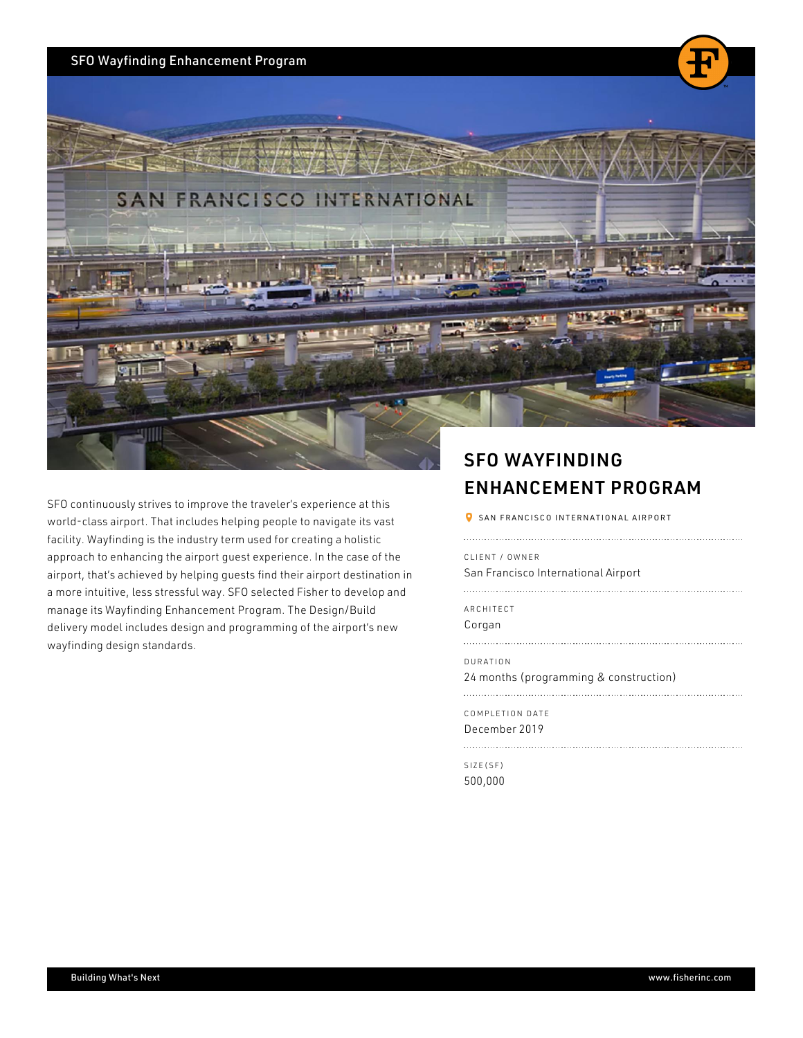## SFO Wayfinding Enhancement Program

SFO continuously strives to improve the travel world-class airport. That includes helping peop facility. Wayfinding is the industry term used for contain a manufacture and manufacture and holistics and holi approach to enhancing the airport guest experi airport, that s achieved by helping guests find a more intuitive, less stressful way. SFO selected Fisher and Fisher and Fisher to develop and fisher to develop and manage its Wayfinding Enhancement Program. delivery model includes design and programmin wayfinding design standards.

## SFO WAYFINDING ENHANCEMENT PROGR

SAN FRANCISCO INTERNATIONAL AIRPORT

CLIENT / OWNER San Francisco International Airport

ARCHITECT

Corgan

DURATION

24 months (programming & construction)

COMPLETION DATE December 2019

SIZE(SF) 500,000